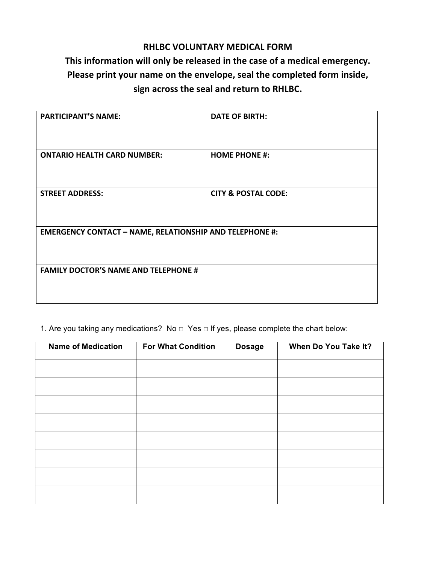## **RHLBC VOLUNTARY MEDICAL FORM**

## This information will only be released in the case of a medical emergency. Please print your name on the envelope, seal the completed form inside, sign across the seal and return to RHLBC.

| <b>PARTICIPANT'S NAME:</b>                                     | <b>DATE OF BIRTH:</b>          |  |  |
|----------------------------------------------------------------|--------------------------------|--|--|
| <b>ONTARIO HEALTH CARD NUMBER:</b>                             | <b>HOME PHONE #:</b>           |  |  |
| <b>STREET ADDRESS:</b>                                         | <b>CITY &amp; POSTAL CODE:</b> |  |  |
| <b>EMERGENCY CONTACT - NAME, RELATIONSHIP AND TELEPHONE #:</b> |                                |  |  |
| <b>FAMILY DOCTOR'S NAME AND TELEPHONE #</b>                    |                                |  |  |

1. Are you taking any medications? No  $□$  Yes  $□$  If yes, please complete the chart below:

| <b>Name of Medication</b> | <b>For What Condition</b> | <b>Dosage</b> | When Do You Take It? |
|---------------------------|---------------------------|---------------|----------------------|
|                           |                           |               |                      |
|                           |                           |               |                      |
|                           |                           |               |                      |
|                           |                           |               |                      |
|                           |                           |               |                      |
|                           |                           |               |                      |
|                           |                           |               |                      |
|                           |                           |               |                      |
|                           |                           |               |                      |